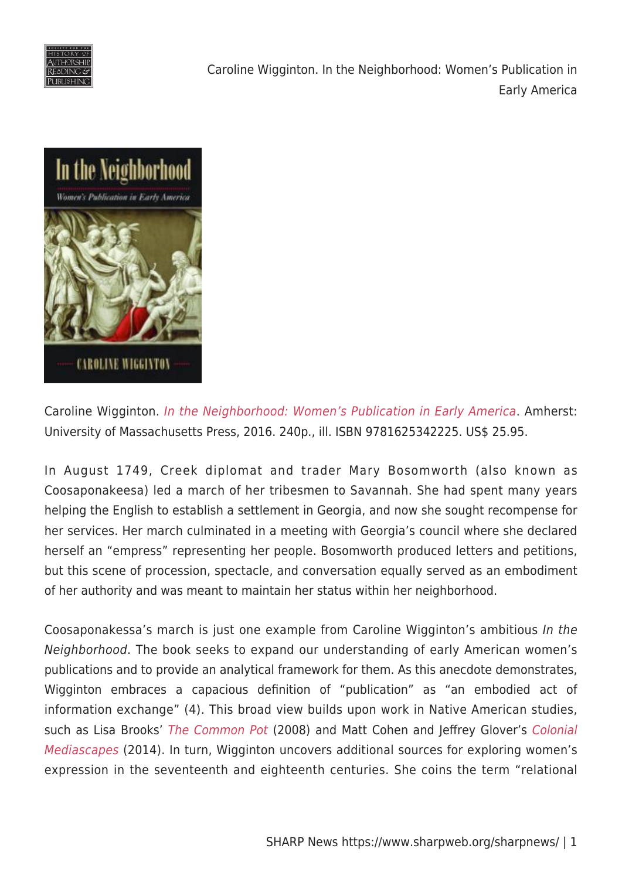

Caroline Wigginton. In the Neighborhood: Women's Publication in Early America



Caroline Wigginton. [In the Neighborhood: Women's Publication in Early America](http://www.umass.edu/umpress/title/neighborhood). Amherst: University of Massachusetts Press, 2016. 240p., ill. ISBN 9781625342225. US\$ 25.95.

In August 1749, Creek diplomat and trader Mary Bosomworth (also known as Coosaponakeesa) led a march of her tribesmen to Savannah. She had spent many years helping the English to establish a settlement in Georgia, and now she sought recompense for her services. Her march culminated in a meeting with Georgia's council where she declared herself an "empress" representing her people. Bosomworth produced letters and petitions, but this scene of procession, spectacle, and conversation equally served as an embodiment of her authority and was meant to maintain her status within her neighborhood.

Coosaponakessa's march is just one example from Caroline Wigginton's ambitious In the Neighborhood. The book seeks to expand our understanding of early American women's publications and to provide an analytical framework for them. As this anecdote demonstrates, Wigginton embraces a capacious definition of "publication" as "an embodied act of information exchange" (4). This broad view builds upon work in Native American studies, such as Lisa Brooks' [The Common Pot](https://www.upress.umn.edu/book-division/books/the-common-pot) (2008) and Matt Cohen and Jeffrey Glover's [Colonial](http://www.nebraskapress.unl.edu/university-of-nebraska-press/9780803232396/) [Mediascapes](http://www.nebraskapress.unl.edu/university-of-nebraska-press/9780803232396/) (2014). In turn, Wigginton uncovers additional sources for exploring women's expression in the seventeenth and eighteenth centuries. She coins the term "relational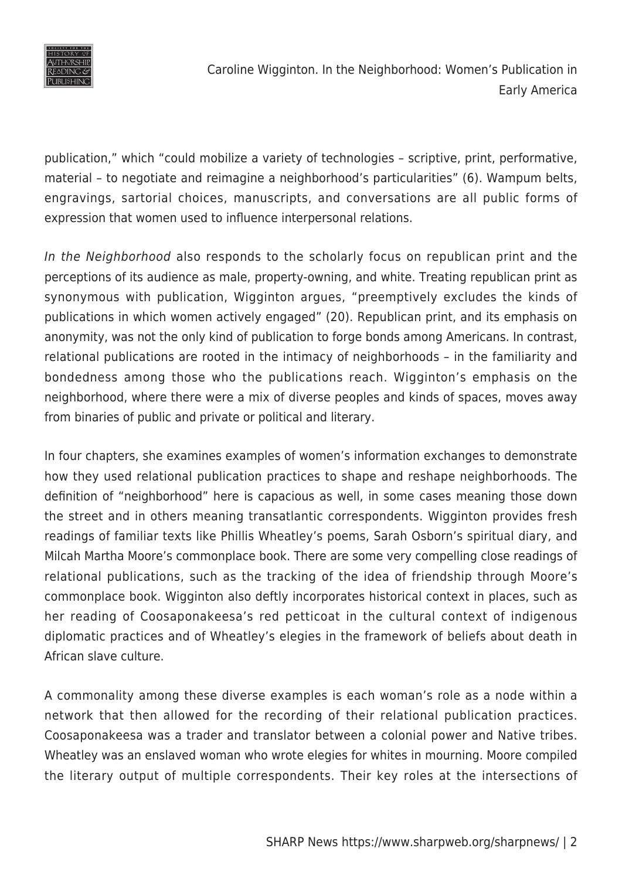

publication," which "could mobilize a variety of technologies – scriptive, print, performative, material – to negotiate and reimagine a neighborhood's particularities" (6). Wampum belts, engravings, sartorial choices, manuscripts, and conversations are all public forms of expression that women used to influence interpersonal relations.

In the Neighborhood also responds to the scholarly focus on republican print and the perceptions of its audience as male, property-owning, and white. Treating republican print as synonymous with publication, Wigginton argues, "preemptively excludes the kinds of publications in which women actively engaged" (20). Republican print, and its emphasis on anonymity, was not the only kind of publication to forge bonds among Americans. In contrast, relational publications are rooted in the intimacy of neighborhoods – in the familiarity and bondedness among those who the publications reach. Wigginton's emphasis on the neighborhood, where there were a mix of diverse peoples and kinds of spaces, moves away from binaries of public and private or political and literary.

In four chapters, she examines examples of women's information exchanges to demonstrate how they used relational publication practices to shape and reshape neighborhoods. The definition of "neighborhood" here is capacious as well, in some cases meaning those down the street and in others meaning transatlantic correspondents. Wigginton provides fresh readings of familiar texts like Phillis Wheatley's poems, Sarah Osborn's spiritual diary, and Milcah Martha Moore's commonplace book. There are some very compelling close readings of relational publications, such as the tracking of the idea of friendship through Moore's commonplace book. Wigginton also deftly incorporates historical context in places, such as her reading of Coosaponakeesa's red petticoat in the cultural context of indigenous diplomatic practices and of Wheatley's elegies in the framework of beliefs about death in African slave culture.

A commonality among these diverse examples is each woman's role as a node within a network that then allowed for the recording of their relational publication practices. Coosaponakeesa was a trader and translator between a colonial power and Native tribes. Wheatley was an enslaved woman who wrote elegies for whites in mourning. Moore compiled the literary output of multiple correspondents. Their key roles at the intersections of